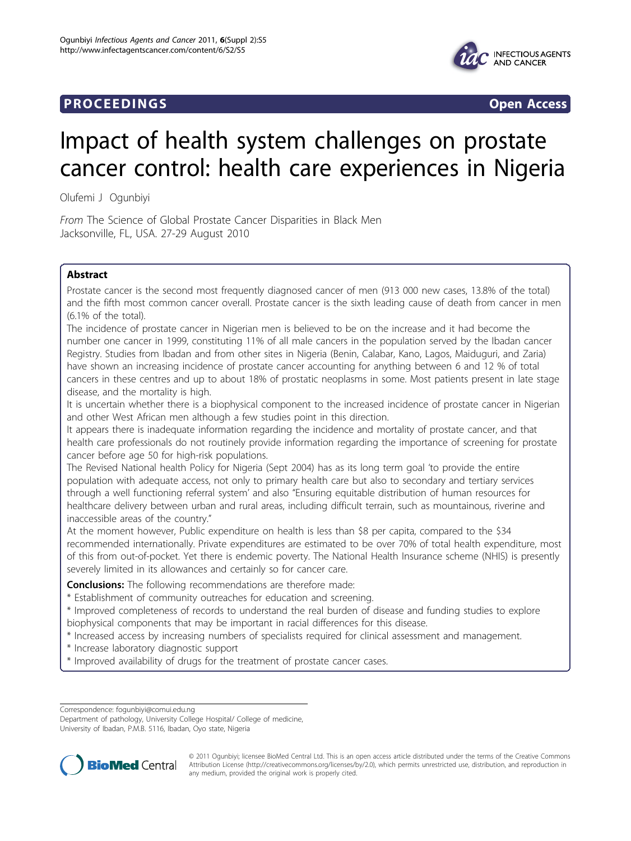## **PROCEEDINGS CONSUMING S** Open Access **CONSUMING S**



# Impact of health system challenges on prostate cancer control: health care experiences in Nigeria

Olufemi J Ogunbiyi

From The Science of Global Prostate Cancer Disparities in Black Men Jacksonville, FL, USA. 27-29 August 2010

## Abstract

Prostate cancer is the second most frequently diagnosed cancer of men (913 000 new cases, 13.8% of the total) and the fifth most common cancer overall. Prostate cancer is the sixth leading cause of death from cancer in men (6.1% of the total).

The incidence of prostate cancer in Nigerian men is believed to be on the increase and it had become the number one cancer in 1999, constituting 11% of all male cancers in the population served by the Ibadan cancer Registry. Studies from Ibadan and from other sites in Nigeria (Benin, Calabar, Kano, Lagos, Maiduguri, and Zaria) have shown an increasing incidence of prostate cancer accounting for anything between 6 and 12 % of total cancers in these centres and up to about 18% of prostatic neoplasms in some. Most patients present in late stage disease, and the mortality is high.

It is uncertain whether there is a biophysical component to the increased incidence of prostate cancer in Nigerian and other West African men although a few studies point in this direction.

It appears there is inadequate information regarding the incidence and mortality of prostate cancer, and that health care professionals do not routinely provide information regarding the importance of screening for prostate cancer before age 50 for high-risk populations.

The Revised National health Policy for Nigeria (Sept 2004) has as its long term goal 'to provide the entire population with adequate access, not only to primary health care but also to secondary and tertiary services through a well functioning referral system' and also "Ensuring equitable distribution of human resources for healthcare delivery between urban and rural areas, including difficult terrain, such as mountainous, riverine and inaccessible areas of the country."

At the moment however, Public expenditure on health is less than \$8 per capita, compared to the \$34 recommended internationally. Private expenditures are estimated to be over 70% of total health expenditure, most of this from out-of-pocket. Yet there is endemic poverty. The National Health Insurance scheme (NHIS) is presently severely limited in its allowances and certainly so for cancer care.

**Conclusions:** The following recommendations are therefore made:

\* Establishment of community outreaches for education and screening.

\* Improved completeness of records to understand the real burden of disease and funding studies to explore biophysical components that may be important in racial differences for this disease.

\* Increased access by increasing numbers of specialists required for clinical assessment and management.

- \* Increase laboratory diagnostic support
- Improved availability of drugs for the treatment of prostate cancer cases.

Correspondence: [fogunbiyi@comui.edu.ng](mailto:fogunbiyi@comui.edu.ng)

Department of pathology, University College Hospital/ College of medicine, University of Ibadan, P.M.B. 5116, Ibadan, Oyo state, Nigeria



© 2011 Ogunbiyi; licensee BioMed Central Ltd. This is an open access article distributed under the terms of the Creative Commons Attribution License [\(http://creativecommons.org/licenses/by/2.0](http://creativecommons.org/licenses/by/2.0)), which permits unrestricted use, distribution, and reproduction in any medium, provided the original work is properly cited.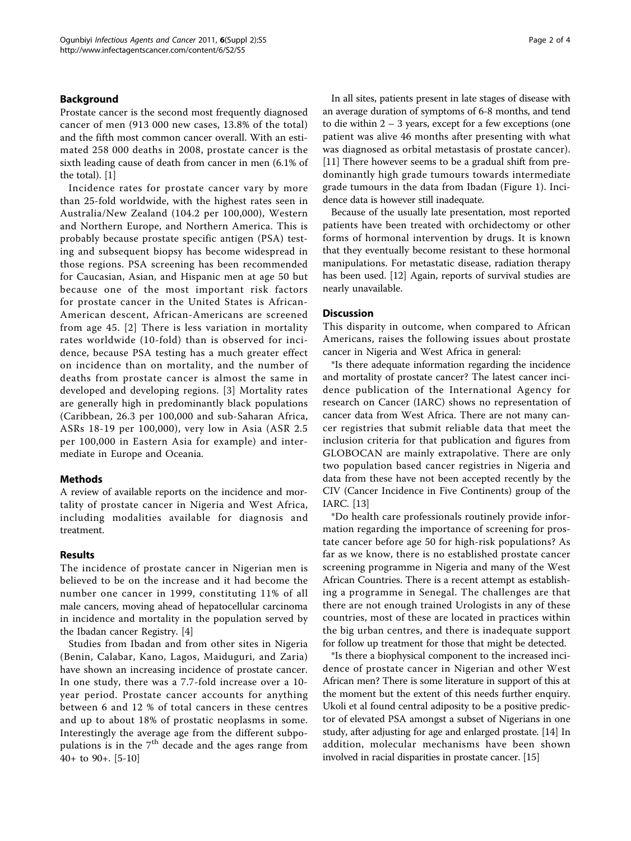## Background

Prostate cancer is the second most frequently diagnosed cancer of men (913 000 new cases, 13.8% of the total) and the fifth most common cancer overall. With an estimated 258 000 deaths in 2008, prostate cancer is the sixth leading cause of death from cancer in men (6.1% of the total). [[1\]](#page-3-0)

Incidence rates for prostate cancer vary by more than 25-fold worldwide, with the highest rates seen in Australia/New Zealand (104.2 per 100,000), Western and Northern Europe, and Northern America. This is probably because prostate specific antigen (PSA) testing and subsequent biopsy has become widespread in those regions. PSA screening has been recommended for Caucasian, Asian, and Hispanic men at age 50 but because one of the most important risk factors for prostate cancer in the United States is African-American descent, African-Americans are screened from age 45. [[2](#page-3-0)] There is less variation in mortality rates worldwide (10-fold) than is observed for incidence, because PSA testing has a much greater effect on incidence than on mortality, and the number of deaths from prostate cancer is almost the same in developed and developing regions. [[3](#page-3-0)] Mortality rates are generally high in predominantly black populations (Caribbean, 26.3 per 100,000 and sub-Saharan Africa, ASRs 18-19 per 100,000), very low in Asia (ASR 2.5 per 100,000 in Eastern Asia for example) and intermediate in Europe and Oceania.

#### Methods

A review of available reports on the incidence and mortality of prostate cancer in Nigeria and West Africa, including modalities available for diagnosis and treatment.

#### Results

The incidence of prostate cancer in Nigerian men is believed to be on the increase and it had become the number one cancer in 1999, constituting 11% of all male cancers, moving ahead of hepatocellular carcinoma in incidence and mortality in the population served by the Ibadan cancer Registry. [[4](#page-3-0)]

Studies from Ibadan and from other sites in Nigeria (Benin, Calabar, Kano, Lagos, Maiduguri, and Zaria) have shown an increasing incidence of prostate cancer. In one study, there was a 7.7-fold increase over a 10 year period. Prostate cancer accounts for anything between 6 and 12 % of total cancers in these centres and up to about 18% of prostatic neoplasms in some. Interestingly the average age from the different subpopulations is in the  $7<sup>th</sup>$  decade and the ages range from 40+ to 90+. [[5-10](#page-3-0)]

In all sites, patients present in late stages of disease with an average duration of symptoms of 6-8 months, and tend to die within 2 – 3 years, except for a few exceptions (one patient was alive 46 months after presenting with what was diagnosed as orbital metastasis of prostate cancer). [[11\]](#page-3-0) There however seems to be a gradual shift from predominantly high grade tumours towards intermediate grade tumours in the data from Ibadan (Figure [1](#page-2-0)). Incidence data is however still inadequate.

Because of the usually late presentation, most reported patients have been treated with orchidectomy or other forms of hormonal intervention by drugs. It is known that they eventually become resistant to these hormonal manipulations. For metastatic disease, radiation therapy has been used. [\[12\]](#page-3-0) Again, reports of survival studies are nearly unavailable.

### **Discussion**

This disparity in outcome, when compared to African Americans, raises the following issues about prostate cancer in Nigeria and West Africa in general:

\*Is there adequate information regarding the incidence and mortality of prostate cancer? The latest cancer incidence publication of the International Agency for research on Cancer (IARC) shows no representation of cancer data from West Africa. There are not many cancer registries that submit reliable data that meet the inclusion criteria for that publication and figures from GLOBOCAN are mainly extrapolative. There are only two population based cancer registries in Nigeria and data from these have not been accepted recently by the CIV (Cancer Incidence in Five Continents) group of the IARC. [\[13\]](#page-3-0)

\*Do health care professionals routinely provide information regarding the importance of screening for prostate cancer before age 50 for high-risk populations? As far as we know, there is no established prostate cancer screening programme in Nigeria and many of the West African Countries. There is a recent attempt as establishing a programme in Senegal. The challenges are that there are not enough trained Urologists in any of these countries, most of these are located in practices within the big urban centres, and there is inadequate support for follow up treatment for those that might be detected.

\*Is there a biophysical component to the increased incidence of prostate cancer in Nigerian and other West African men? There is some literature in support of this at the moment but the extent of this needs further enquiry. Ukoli et al found central adiposity to be a positive predictor of elevated PSA amongst a subset of Nigerians in one study, after adjusting for age and enlarged prostate. [[14](#page-3-0)] In addition, molecular mechanisms have been shown involved in racial disparities in prostate cancer. [[15](#page-3-0)]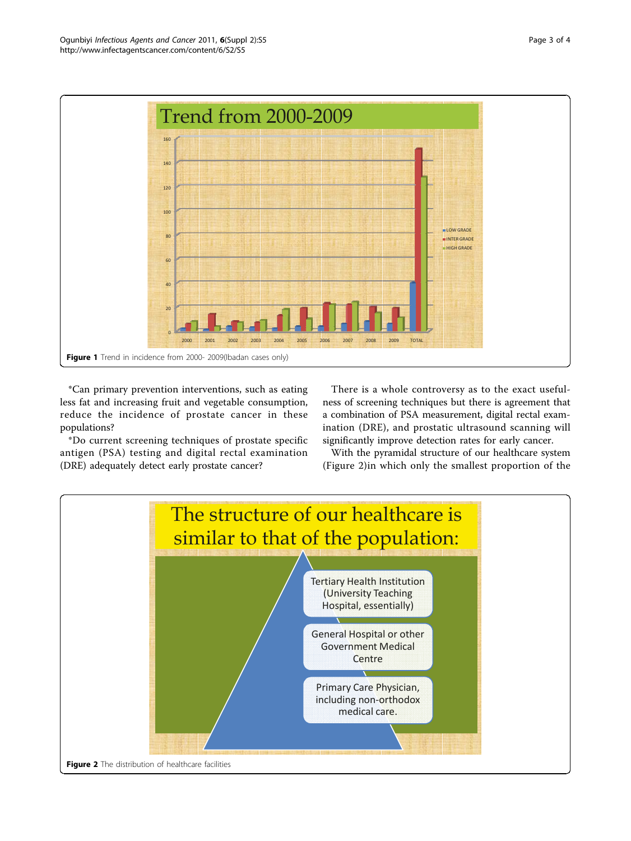<span id="page-2-0"></span>

\*Can primary prevention interventions, such as eating less fat and increasing fruit and vegetable consumption, reduce the incidence of prostate cancer in these populations?

\*Do current screening techniques of prostate specific antigen (PSA) testing and digital rectal examination (DRE) adequately detect early prostate cancer?

There is a whole controversy as to the exact usefulness of screening techniques but there is agreement that a combination of PSA measurement, digital rectal examination (DRE), and prostatic ultrasound scanning will significantly improve detection rates for early cancer.

With the pyramidal structure of our healthcare system (Figure 2)in which only the smallest proportion of the